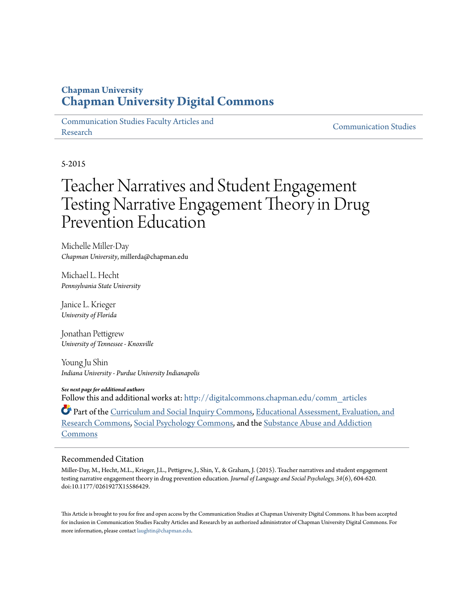## **Chapman University [Chapman University Digital Commons](http://digitalcommons.chapman.edu?utm_source=digitalcommons.chapman.edu%2Fcomm_articles%2F21&utm_medium=PDF&utm_campaign=PDFCoverPages)**

[Communication Studies Faculty Articles and](http://digitalcommons.chapman.edu/comm_articles?utm_source=digitalcommons.chapman.edu%2Fcomm_articles%2F21&utm_medium=PDF&utm_campaign=PDFCoverPages) [Research](http://digitalcommons.chapman.edu/comm_articles?utm_source=digitalcommons.chapman.edu%2Fcomm_articles%2F21&utm_medium=PDF&utm_campaign=PDFCoverPages) [Communication Studies](http://digitalcommons.chapman.edu/communication?utm_source=digitalcommons.chapman.edu%2Fcomm_articles%2F21&utm_medium=PDF&utm_campaign=PDFCoverPages)

5-2015

# Teacher Narratives and Student Engagement Testing Narrative Engagement Theory in Drug Prevention Education

Michelle Miller-Day *Chapman University*, millerda@chapman.edu

Michael L. Hecht *Pennsylvania State University*

Janice L. Krieger *University of Florida*

Jonathan Pettigrew *University of Tennessee - Knoxville*

Young Ju Shin *Indiana University - Purdue University Indianapolis*

*See next page for additional authors* Follow this and additional works at: [http://digitalcommons.chapman.edu/comm\\_articles](http://digitalcommons.chapman.edu/comm_articles?utm_source=digitalcommons.chapman.edu%2Fcomm_articles%2F21&utm_medium=PDF&utm_campaign=PDFCoverPages)

Part of the [Curriculum and Social Inquiry Commons](http://network.bepress.com/hgg/discipline/1038?utm_source=digitalcommons.chapman.edu%2Fcomm_articles%2F21&utm_medium=PDF&utm_campaign=PDFCoverPages), [Educational Assessment, Evaluation, and](http://network.bepress.com/hgg/discipline/796?utm_source=digitalcommons.chapman.edu%2Fcomm_articles%2F21&utm_medium=PDF&utm_campaign=PDFCoverPages) [Research Commons,](http://network.bepress.com/hgg/discipline/796?utm_source=digitalcommons.chapman.edu%2Fcomm_articles%2F21&utm_medium=PDF&utm_campaign=PDFCoverPages) [Social Psychology Commons,](http://network.bepress.com/hgg/discipline/414?utm_source=digitalcommons.chapman.edu%2Fcomm_articles%2F21&utm_medium=PDF&utm_campaign=PDFCoverPages) and the [Substance Abuse and Addiction](http://network.bepress.com/hgg/discipline/710?utm_source=digitalcommons.chapman.edu%2Fcomm_articles%2F21&utm_medium=PDF&utm_campaign=PDFCoverPages) [Commons](http://network.bepress.com/hgg/discipline/710?utm_source=digitalcommons.chapman.edu%2Fcomm_articles%2F21&utm_medium=PDF&utm_campaign=PDFCoverPages)

#### Recommended Citation

Miller-Day, M., Hecht, M.L., Krieger, J.L., Pettigrew, J., Shin, Y., & Graham, J. (2015). Teacher narratives and student engagement testing narrative engagement theory in drug prevention education. *Journal of Language and Social Psychology, 34*(6), 604-620. doi:10.1177/0261927X15586429.

This Article is brought to you for free and open access by the Communication Studies at Chapman University Digital Commons. It has been accepted for inclusion in Communication Studies Faculty Articles and Research by an authorized administrator of Chapman University Digital Commons. For more information, please contact  $\text{la }\mathbf{u}$  and  $\mathbf{u}$  and  $\mathbf{u}$  and  $\mathbf{u}$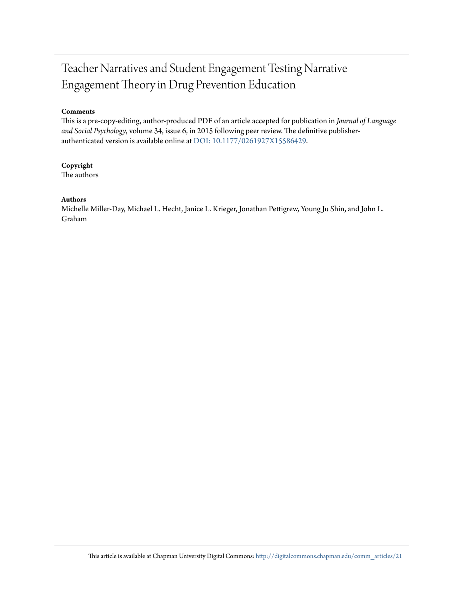## Teacher Narratives and Student Engagement Testing Narrative Engagement Theory in Drug Prevention Education

#### **Comments**

This is a pre-copy-editing, author-produced PDF of an article accepted for publication in *Journal of Language and Social Psychology*, volume 34, issue 6, in 2015 following peer review. The definitive publisherauthenticated version is available online at [DOI: 10.1177/0261927X15586429](http://dx.doi.org/10.1177/0261927X15586429).

#### **Copyright**

The authors

#### **Authors**

Michelle Miller-Day, Michael L. Hecht, Janice L. Krieger, Jonathan Pettigrew, Young Ju Shin, and John L. Graham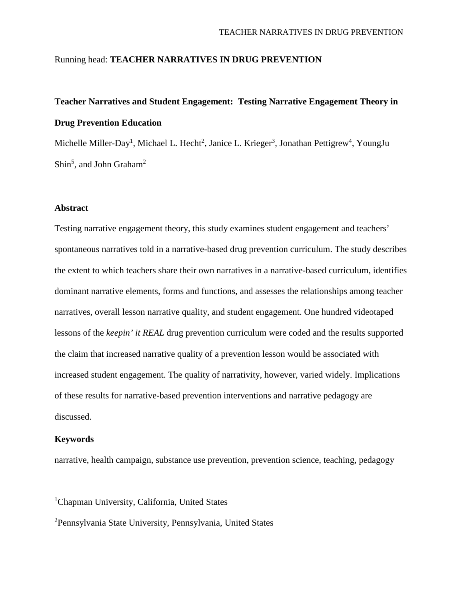#### Running head: **TEACHER NARRATIVES IN DRUG PREVENTION**

## **Teacher Narratives and Student Engagement: Testing Narrative Engagement Theory in Drug Prevention Education**

Michelle Miller-Day<sup>1</sup>, Michael L. Hecht<sup>2</sup>, Janice L. Krieger<sup>3</sup>, Jonathan Pettigrew<sup>4</sup>, YoungJu Shin<sup>5</sup>, and John Graham<sup>2</sup>

#### **Abstract**

Testing narrative engagement theory, this study examines student engagement and teachers' spontaneous narratives told in a narrative-based drug prevention curriculum. The study describes the extent to which teachers share their own narratives in a narrative-based curriculum, identifies dominant narrative elements, forms and functions, and assesses the relationships among teacher narratives, overall lesson narrative quality, and student engagement. One hundred videotaped lessons of the *keepin' it REAL* drug prevention curriculum were coded and the results supported the claim that increased narrative quality of a prevention lesson would be associated with increased student engagement. The quality of narrativity, however, varied widely. Implications of these results for narrative-based prevention interventions and narrative pedagogy are discussed.

#### **Keywords**

narrative, health campaign, substance use prevention, prevention science, teaching, pedagogy

<sup>1</sup>Chapman University, California, United States

2 Pennsylvania State University, Pennsylvania, United States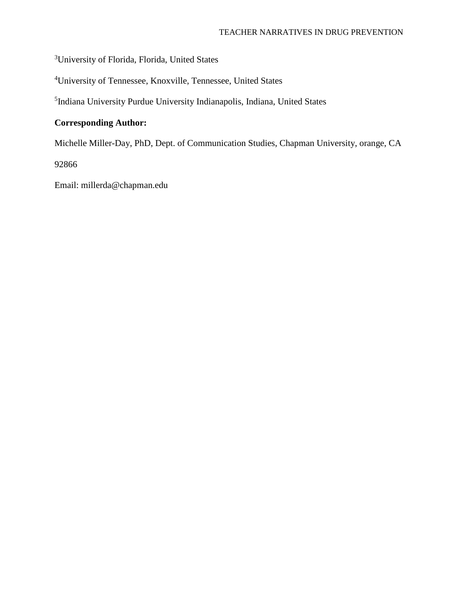<sup>3</sup>University of Florida, Florida, United States

4 University of Tennessee, Knoxville, Tennessee, United States

5 Indiana University Purdue University Indianapolis, Indiana, United States

### **Corresponding Author:**

Michelle Miller-Day, PhD, Dept. of Communication Studies, Chapman University, orange, CA

92866

Email: millerda@chapman.edu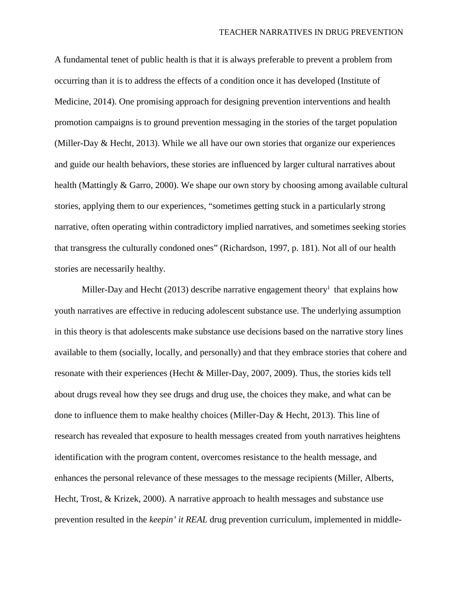A fundamental tenet of public health is that it is always preferable to prevent a problem from occurring than it is to address the effects of a condition once it has developed (Institute of Medicine, 2014). One promising approach for designing prevention interventions and health promotion campaigns is to ground prevention messaging in the stories of the target population (Miller-Day & Hecht, 2013). While we all have our own stories that organize our experiences and guide our health behaviors, these stories are influenced by larger cultural narratives about health (Mattingly & Garro, 2000). We shape our own story by choosing among available cultural stories, applying them to our experiences, "sometimes getting stuck in a particularly strong narrative, often operating within contradictory implied narratives, and sometimes seeking stories that transgress the culturally condoned ones" (Richardson, 1997, p. 181). Not all of our health stories are necessarily healthy.

M[i](#page-29-0)ller-Day and Hecht (2013) describe narrative engagement theory<sup>i</sup> that explains how youth narratives are effective in reducing adolescent substance use. The underlying assumption in this theory is that adolescents make substance use decisions based on the narrative story lines available to them (socially, locally, and personally) and that they embrace stories that cohere and resonate with their experiences (Hecht & Miller-Day, 2007, 2009). Thus, the stories kids tell about drugs reveal how they see drugs and drug use, the choices they make, and what can be done to influence them to make healthy choices (Miller-Day & Hecht, 2013). This line of research has revealed that exposure to health messages created from youth narratives heightens identification with the program content, overcomes resistance to the health message, and enhances the personal relevance of these messages to the message recipients (Miller, Alberts, Hecht, Trost, & Krizek, 2000). A narrative approach to health messages and substance use prevention resulted in the *keepin' it REAL* drug prevention curriculum, implemented in middle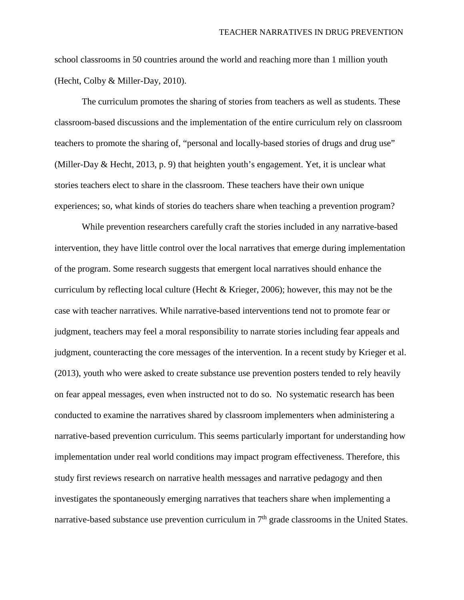school classrooms in 50 countries around the world and reaching more than 1 million youth (Hecht, Colby & Miller-Day, 2010).

The curriculum promotes the sharing of stories from teachers as well as students. These classroom-based discussions and the implementation of the entire curriculum rely on classroom teachers to promote the sharing of, "personal and locally-based stories of drugs and drug use" (Miller-Day & Hecht, 2013, p. 9) that heighten youth's engagement. Yet, it is unclear what stories teachers elect to share in the classroom. These teachers have their own unique experiences; so, what kinds of stories do teachers share when teaching a prevention program?

While prevention researchers carefully craft the stories included in any narrative-based intervention, they have little control over the local narratives that emerge during implementation of the program. Some research suggests that emergent local narratives should enhance the curriculum by reflecting local culture (Hecht & Krieger, 2006); however, this may not be the case with teacher narratives. While narrative-based interventions tend not to promote fear or judgment, teachers may feel a moral responsibility to narrate stories including fear appeals and judgment, counteracting the core messages of the intervention. In a recent study by Krieger et al. (2013), youth who were asked to create substance use prevention posters tended to rely heavily on fear appeal messages, even when instructed not to do so. No systematic research has been conducted to examine the narratives shared by classroom implementers when administering a narrative-based prevention curriculum. This seems particularly important for understanding how implementation under real world conditions may impact program effectiveness. Therefore, this study first reviews research on narrative health messages and narrative pedagogy and then investigates the spontaneously emerging narratives that teachers share when implementing a narrative-based substance use prevention curriculum in  $7<sup>th</sup>$  grade classrooms in the United States.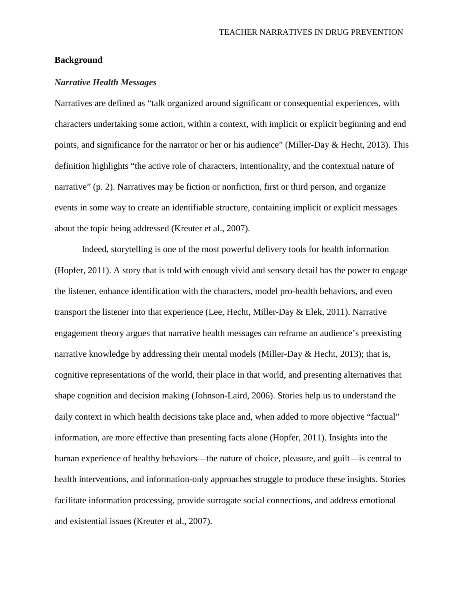#### **Background**

#### *Narrative Health Messages*

Narratives are defined as "talk organized around significant or consequential experiences, with characters undertaking some action, within a context, with implicit or explicit beginning and end points, and significance for the narrator or her or his audience" (Miller-Day & Hecht, 2013). This definition highlights "the active role of characters, intentionality, and the contextual nature of narrative" (p. 2). Narratives may be fiction or nonfiction, first or third person, and organize events in some way to create an identifiable structure, containing implicit or explicit messages about the topic being addressed (Kreuter et al., 2007).

Indeed, storytelling is one of the most powerful delivery tools for health information (Hopfer, 2011). A story that is told with enough vivid and sensory detail has the power to engage the listener, enhance identification with the characters, model pro-health behaviors, and even transport the listener into that experience (Lee, Hecht, Miller-Day & Elek, 2011). Narrative engagement theory argues that narrative health messages can reframe an audience's preexisting narrative knowledge by addressing their mental models (Miller-Day & Hecht, 2013); that is, cognitive representations of the world, their place in that world, and presenting alternatives that shape cognition and decision making (Johnson-Laird, 2006). Stories help us to understand the daily context in which health decisions take place and, when added to more objective "factual" information, are more effective than presenting facts alone (Hopfer, 2011). Insights into the human experience of healthy behaviors—the nature of choice, pleasure, and guilt—is central to health interventions, and information-only approaches struggle to produce these insights. Stories facilitate information processing, provide surrogate social connections, and address emotional and existential issues (Kreuter et al., 2007).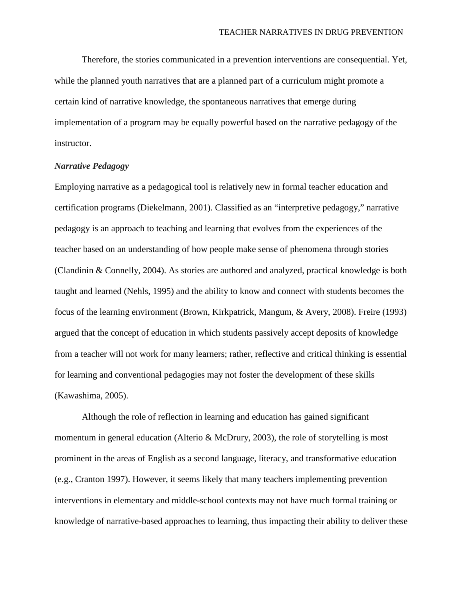Therefore, the stories communicated in a prevention interventions are consequential. Yet, while the planned youth narratives that are a planned part of a curriculum might promote a certain kind of narrative knowledge, the spontaneous narratives that emerge during implementation of a program may be equally powerful based on the narrative pedagogy of the instructor.

#### *Narrative Pedagogy*

Employing narrative as a pedagogical tool is relatively new in formal teacher education and certification programs (Diekelmann, 2001). Classified as an "interpretive pedagogy," narrative pedagogy is an approach to teaching and learning that evolves from the experiences of the teacher based on an understanding of how people make sense of phenomena through stories (Clandinin & Connelly, 2004). As stories are authored and analyzed, practical knowledge is both taught and learned (Nehls, 1995) and the ability to know and connect with students becomes the focus of the learning environment (Brown, Kirkpatrick, Mangum, & Avery, 2008). Freire (1993) argued that the concept of education in which students passively accept deposits of knowledge from a teacher will not work for many learners; rather, reflective and critical thinking is essential for learning and conventional pedagogies may not foster the development of these skills (Kawashima, 2005).

Although the role of reflection in learning and education has gained significant momentum in general education (Alterio & McDrury, 2003), the role of storytelling is most prominent in the areas of English as a second language, literacy, and transformative education (e.g., Cranton 1997). However, it seems likely that many teachers implementing prevention interventions in elementary and middle-school contexts may not have much formal training or knowledge of narrative-based approaches to learning, thus impacting their ability to deliver these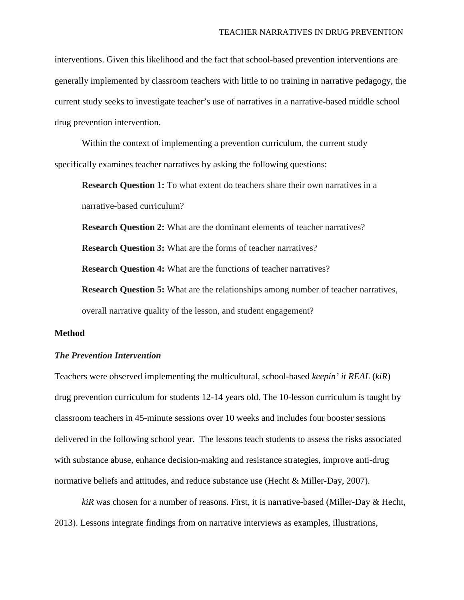interventions. Given this likelihood and the fact that school-based prevention interventions are generally implemented by classroom teachers with little to no training in narrative pedagogy, the current study seeks to investigate teacher's use of narratives in a narrative-based middle school drug prevention intervention.

Within the context of implementing a prevention curriculum, the current study specifically examines teacher narratives by asking the following questions:

**Research Question 1:** To what extent do teachers share their own narratives in a narrative-based curriculum?

**Research Question 2:** What are the dominant elements of teacher narratives?

**Research Question 3:** What are the forms of teacher narratives?

**Research Question 4:** What are the functions of teacher narratives?

**Research Question 5:** What are the relationships among number of teacher narratives, overall narrative quality of the lesson, and student engagement?

#### **Method**

#### *The Prevention Intervention*

Teachers were observed implementing the multicultural, school-based *keepin' it REAL* (*kiR*) drug prevention curriculum for students 12-14 years old. The 10-lesson curriculum is taught by classroom teachers in 45-minute sessions over 10 weeks and includes four booster sessions delivered in the following school year. The lessons teach students to assess the risks associated with substance abuse, enhance decision-making and resistance strategies, improve anti-drug normative beliefs and attitudes, and reduce substance use (Hecht & Miller-Day, 2007).

*kiR* was chosen for a number of reasons. First, it is narrative-based (Miller-Day & Hecht, 2013). Lessons integrate findings from on narrative interviews as examples, illustrations,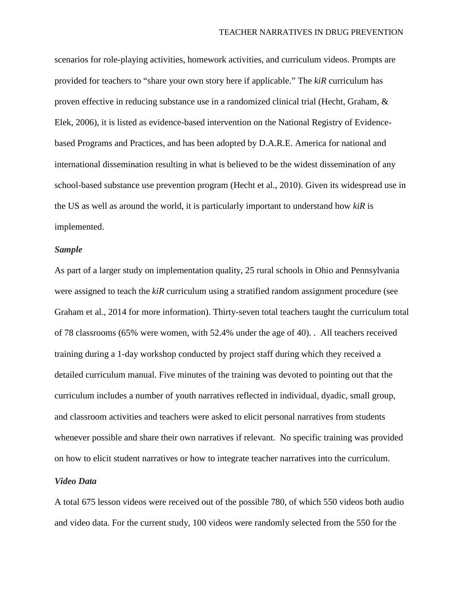scenarios for role-playing activities, homework activities, and curriculum videos. Prompts are provided for teachers to "share your own story here if applicable." The *kiR* curriculum has proven effective in reducing substance use in a randomized clinical trial (Hecht, Graham, & Elek, 2006), it is listed as evidence-based intervention on the National Registry of Evidencebased Programs and Practices, and has been adopted by D.A.R.E. America for national and international dissemination resulting in what is believed to be the widest dissemination of any school-based substance use prevention program (Hecht et al., 2010). Given its widespread use in the US as well as around the world, it is particularly important to understand how *kiR* is implemented.

#### *Sample*

As part of a larger study on implementation quality, 25 rural schools in Ohio and Pennsylvania were assigned to teach the *kiR* curriculum using a stratified random assignment procedure (see Graham et al., 2014 for more information). Thirty-seven total teachers taught the curriculum total of 78 classrooms (65% were women, with 52.4% under the age of 40). . All teachers received training during a 1-day workshop conducted by project staff during which they received a detailed curriculum manual. Five minutes of the training was devoted to pointing out that the curriculum includes a number of youth narratives reflected in individual, dyadic, small group, and classroom activities and teachers were asked to elicit personal narratives from students whenever possible and share their own narratives if relevant. No specific training was provided on how to elicit student narratives or how to integrate teacher narratives into the curriculum.

#### *Video Data*

A total 675 lesson videos were received out of the possible 780, of which 550 videos both audio and video data. For the current study, 100 videos were randomly selected from the 550 for the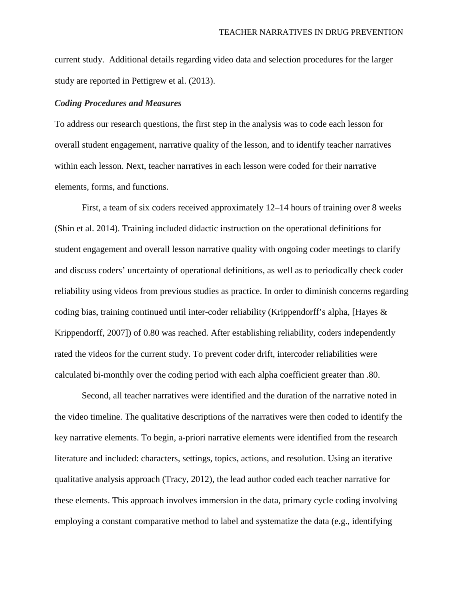current study. Additional details regarding video data and selection procedures for the larger study are reported in Pettigrew et al. (2013).

#### *Coding Procedures and Measures*

To address our research questions, the first step in the analysis was to code each lesson for overall student engagement, narrative quality of the lesson, and to identify teacher narratives within each lesson. Next, teacher narratives in each lesson were coded for their narrative elements, forms, and functions.

First, a team of six coders received approximately 12–14 hours of training over 8 weeks (Shin et al. 2014). Training included didactic instruction on the operational definitions for student engagement and overall lesson narrative quality with ongoing coder meetings to clarify and discuss coders' uncertainty of operational definitions, as well as to periodically check coder reliability using videos from previous studies as practice. In order to diminish concerns regarding coding bias, training continued until inter-coder reliability (Krippendorff's alpha, [Hayes & Krippendorff, 2007]) of 0.80 was reached. After establishing reliability, coders independently rated the videos for the current study. To prevent coder drift, intercoder reliabilities were calculated bi-monthly over the coding period with each alpha coefficient greater than .80.

Second, all teacher narratives were identified and the duration of the narrative noted in the video timeline. The qualitative descriptions of the narratives were then coded to identify the key narrative elements. To begin, a-priori narrative elements were identified from the research literature and included: characters, settings, topics, actions, and resolution. Using an iterative qualitative analysis approach (Tracy, 2012), the lead author coded each teacher narrative for these elements. This approach involves immersion in the data, primary cycle coding involving employing a constant comparative method to label and systematize the data (e.g., identifying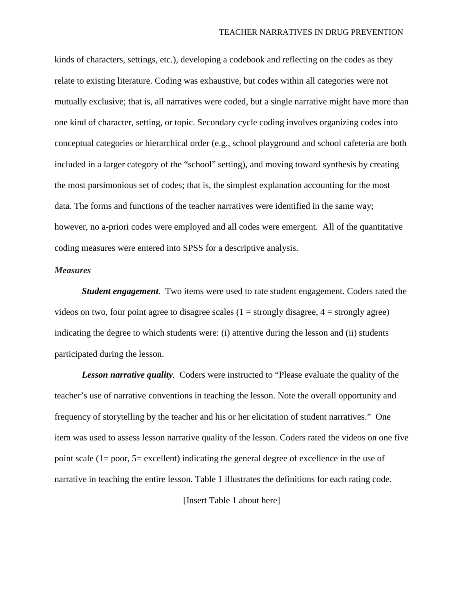kinds of characters, settings, etc.), developing a codebook and reflecting on the codes as they relate to existing literature. Coding was exhaustive, but codes within all categories were not mutually exclusive; that is, all narratives were coded, but a single narrative might have more than one kind of character, setting, or topic. Secondary cycle coding involves organizing codes into conceptual categories or hierarchical order (e.g., school playground and school cafeteria are both included in a larger category of the "school" setting), and moving toward synthesis by creating the most parsimonious set of codes; that is, the simplest explanation accounting for the most data. The forms and functions of the teacher narratives were identified in the same way; however, no a-priori codes were employed and all codes were emergent. All of the quantitative coding measures were entered into SPSS for a descriptive analysis.

#### *Measures*

*Student engagement.* Two items were used to rate student engagement. Coders rated the videos on two, four point agree to disagree scales  $(1 =$  strongly disagree,  $4 =$  strongly agree) indicating the degree to which students were: (i) attentive during the lesson and (ii) students participated during the lesson.

*Lesson narrative quality.* Coders were instructed to "Please evaluate the quality of the teacher's use of narrative conventions in teaching the lesson. Note the overall opportunity and frequency of storytelling by the teacher and his or her elicitation of student narratives." One item was used to assess lesson narrative quality of the lesson. Coders rated the videos on one five point scale (1= poor, 5= excellent) indicating the general degree of excellence in the use of narrative in teaching the entire lesson. Table 1 illustrates the definitions for each rating code.

[Insert Table 1 about here]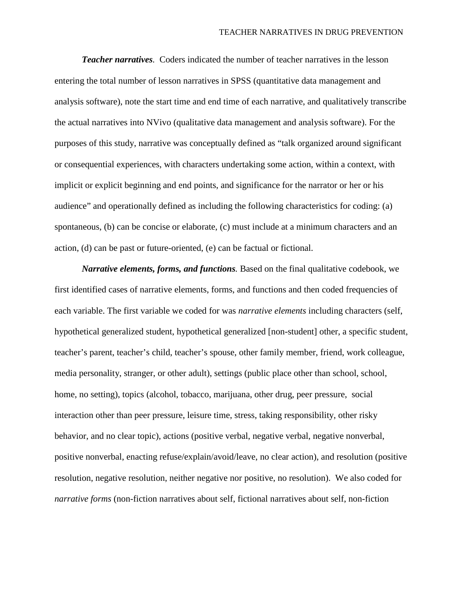*Teacher narratives.* Coders indicated the number of teacher narratives in the lesson entering the total number of lesson narratives in SPSS (quantitative data management and analysis software), note the start time and end time of each narrative, and qualitatively transcribe the actual narratives into NVivo (qualitative data management and analysis software). For the purposes of this study, narrative was conceptually defined as "talk organized around significant or consequential experiences, with characters undertaking some action, within a context, with implicit or explicit beginning and end points, and significance for the narrator or her or his audience" and operationally defined as including the following characteristics for coding: (a) spontaneous, (b) can be concise or elaborate, (c) must include at a minimum characters and an action, (d) can be past or future-oriented, (e) can be factual or fictional.

*Narrative elements, forms, and functions.* Based on the final qualitative codebook, we first identified cases of narrative elements, forms, and functions and then coded frequencies of each variable. The first variable we coded for was *narrative elements* including characters (self, hypothetical generalized student, hypothetical generalized [non-student] other, a specific student, teacher's parent, teacher's child, teacher's spouse, other family member, friend, work colleague, media personality, stranger, or other adult), settings (public place other than school, school, home, no setting), topics (alcohol, tobacco, marijuana, other drug, peer pressure, social interaction other than peer pressure, leisure time, stress, taking responsibility, other risky behavior, and no clear topic), actions (positive verbal, negative verbal, negative nonverbal, positive nonverbal, enacting refuse/explain/avoid/leave, no clear action), and resolution (positive resolution, negative resolution, neither negative nor positive, no resolution). We also coded for *narrative forms* (non-fiction narratives about self, fictional narratives about self, non-fiction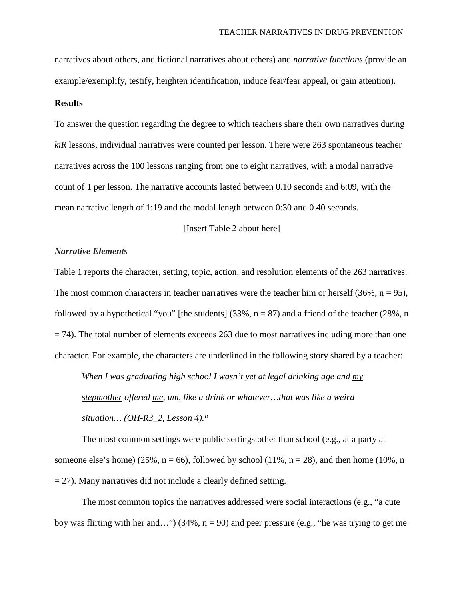narratives about others, and fictional narratives about others) and *narrative functions* (provide an example/exemplify, testify, heighten identification, induce fear/fear appeal, or gain attention).

#### **Results**

To answer the question regarding the degree to which teachers share their own narratives during *kiR* lessons, individual narratives were counted per lesson. There were 263 spontaneous teacher narratives across the 100 lessons ranging from one to eight narratives, with a modal narrative count of 1 per lesson. The narrative accounts lasted between 0.10 seconds and 6:09, with the mean narrative length of 1:19 and the modal length between 0:30 and 0.40 seconds.

[Insert Table 2 about here]

#### *Narrative Elements*

Table 1 reports the character, setting, topic, action, and resolution elements of the 263 narratives. The most common characters in teacher narratives were the teacher him or herself  $(36\%, n = 95)$ , followed by a hypothetical "you" [the students]  $(33\%, n = 87)$  and a friend of the teacher  $(28\%, n$  $=$  74). The total number of elements exceeds 263 due to most narratives including more than one character. For example, the characters are underlined in the following story shared by a teacher:

*When I was graduating high school I wasn't yet at legal drinking age and my stepmother offered me, um, like a drink or whatever…that was like a weird situation… (OH-R3\_2, Lesson 4). [ii](#page-29-1)*

The most common settings were public settings other than school (e.g., at a party at someone else's home) (25%,  $n = 66$ ), followed by school (11%,  $n = 28$ ), and then home (10%, n  $= 27$ ). Many narratives did not include a clearly defined setting.

The most common topics the narratives addressed were social interactions (e.g., "a cute boy was flirting with her and...") (34%,  $n = 90$ ) and peer pressure (e.g., "he was trying to get me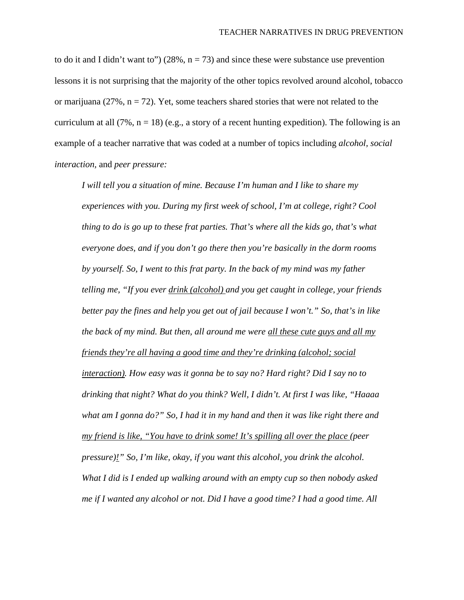to do it and I didn't want to") (28%,  $n = 73$ ) and since these were substance use prevention lessons it is not surprising that the majority of the other topics revolved around alcohol, tobacco or marijuana (27%,  $n = 72$ ). Yet, some teachers shared stories that were not related to the curriculum at all (7%,  $n = 18$ ) (e.g., a story of a recent hunting expedition). The following is an example of a teacher narrative that was coded at a number of topics including *alcohol, social interaction,* and *peer pressure:*

*I will tell you a situation of mine. Because I'm human and I like to share my experiences with you. During my first week of school, I'm at college, right? Cool thing to do is go up to these frat parties. That's where all the kids go, that's what everyone does, and if you don't go there then you're basically in the dorm rooms by yourself. So, I went to this frat party. In the back of my mind was my father telling me, "If you ever drink (alcohol) and you get caught in college, your friends better pay the fines and help you get out of jail because I won't." So, that's in like the back of my mind. But then, all around me were all these cute guys and all my friends they're all having a good time and they're drinking (alcohol; social interaction). How easy was it gonna be to say no? Hard right? Did I say no to drinking that night? What do you think? Well, I didn't. At first I was like, "Haaaa what am I gonna do?" So, I had it in my hand and then it was like right there and my friend is like, "You have to drink some! It's spilling all over the place (peer pressure)!" So, I'm like, okay, if you want this alcohol, you drink the alcohol. What I did is I ended up walking around with an empty cup so then nobody asked me if I wanted any alcohol or not. Did I have a good time? I had a good time. All*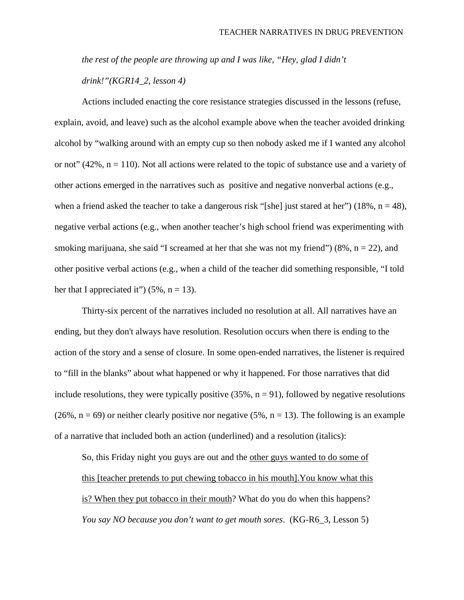*the rest of the people are throwing up and I was like, "Hey, glad I didn't drink!"(KGR14\_2, lesson 4)*

Actions included enacting the core resistance strategies discussed in the lessons (refuse, explain, avoid, and leave) such as the alcohol example above when the teacher avoided drinking alcohol by "walking around with an empty cup so then nobody asked me if I wanted any alcohol or not"  $(42\%, n = 110)$ . Not all actions were related to the topic of substance use and a variety of other actions emerged in the narratives such as positive and negative nonverbal actions (e.g., when a friend asked the teacher to take a dangerous risk "[she] just stared at her") (18%,  $n = 48$ ), negative verbal actions (e.g., when another teacher's high school friend was experimenting with smoking marijuana, she said "I screamed at her that she was not my friend") (8%,  $n = 22$ ), and other positive verbal actions (e.g., when a child of the teacher did something responsible, "I told her that I appreciated it") (5%,  $n = 13$ ).

Thirty-six percent of the narratives included no resolution at all. All narratives have an ending, but they don't always have resolution. Resolution occurs when there is ending to the action of the story and a sense of closure. In some open-ended narratives, the listener is required to "fill in the blanks" about what happened or why it happened. For those narratives that did include resolutions, they were typically positive  $(35\%, n = 91)$ , followed by negative resolutions  $(26\%, n = 69)$  or neither clearly positive nor negative  $(5\%, n = 13)$ . The following is an example of a narrative that included both an action (underlined) and a resolution (italics):

So, this Friday night you guys are out and the other guys wanted to do some of this [teacher pretends to put chewing tobacco in his mouth].You know what this is? When they put tobacco in their mouth? What do you do when this happens? *You say NO because you don't want to get mouth sores*. (KG-R6\_3, Lesson 5)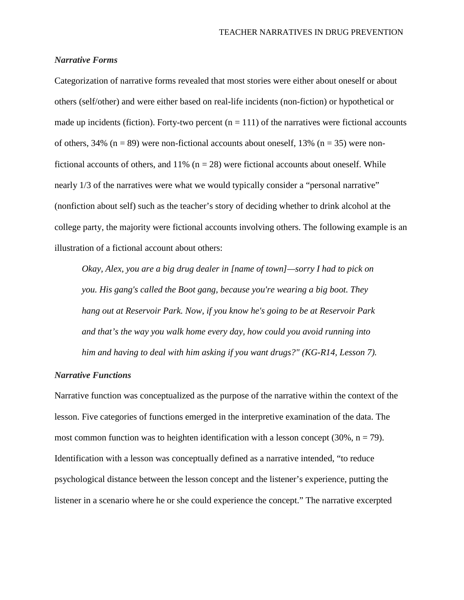#### *Narrative Forms*

Categorization of narrative forms revealed that most stories were either about oneself or about others (self/other) and were either based on real-life incidents (non-fiction) or hypothetical or made up incidents (fiction). Forty-two percent  $(n = 111)$  of the narratives were fictional accounts of others, 34% ( $n = 89$ ) were non-fictional accounts about oneself, 13% ( $n = 35$ ) were nonfictional accounts of others, and  $11\%$  (n = 28) were fictional accounts about oneself. While nearly 1/3 of the narratives were what we would typically consider a "personal narrative" (nonfiction about self) such as the teacher's story of deciding whether to drink alcohol at the college party, the majority were fictional accounts involving others. The following example is an illustration of a fictional account about others:

*Okay, Alex, you are a big drug dealer in [name of town]—sorry I had to pick on you. His gang's called the Boot gang, because you're wearing a big boot. They hang out at Reservoir Park. Now, if you know he's going to be at Reservoir Park and that's the way you walk home every day, how could you avoid running into him and having to deal with him asking if you want drugs?" (KG-R14, Lesson 7).*

#### *Narrative Functions*

Narrative function was conceptualized as the purpose of the narrative within the context of the lesson. Five categories of functions emerged in the interpretive examination of the data. The most common function was to heighten identification with a lesson concept  $(30\%, n = 79)$ . Identification with a lesson was conceptually defined as a narrative intended, "to reduce psychological distance between the lesson concept and the listener's experience, putting the listener in a scenario where he or she could experience the concept." The narrative excerpted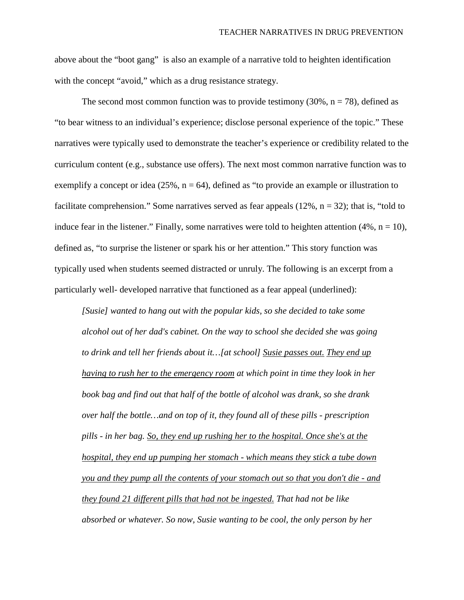above about the "boot gang" is also an example of a narrative told to heighten identification with the concept "avoid," which as a drug resistance strategy.

The second most common function was to provide testimony  $(30\%, n = 78)$ , defined as "to bear witness to an individual's experience; disclose personal experience of the topic." These narratives were typically used to demonstrate the teacher's experience or credibility related to the curriculum content (e.g., substance use offers). The next most common narrative function was to exemplify a concept or idea  $(25\%, n = 64)$ , defined as "to provide an example or illustration to facilitate comprehension." Some narratives served as fear appeals  $(12\%, n = 32)$ ; that is, "told to induce fear in the listener." Finally, some narratives were told to heighten attention  $(4\%, n = 10)$ , defined as, "to surprise the listener or spark his or her attention." This story function was typically used when students seemed distracted or unruly. The following is an excerpt from a particularly well- developed narrative that functioned as a fear appeal (underlined):

*[Susie] wanted to hang out with the popular kids, so she decided to take some alcohol out of her dad's cabinet. On the way to school she decided she was going to drink and tell her friends about it…[at school] Susie passes out. They end up having to rush her to the emergency room at which point in time they look in her book bag and find out that half of the bottle of alcohol was drank, so she drank over half the bottle…and on top of it, they found all of these pills - prescription pills - in her bag. So, they end up rushing her to the hospital. Once she's at the hospital, they end up pumping her stomach - which means they stick a tube down you and they pump all the contents of your stomach out so that you don't die - and they found 21 different pills that had not be ingested. That had not be like absorbed or whatever. So now, Susie wanting to be cool, the only person by her*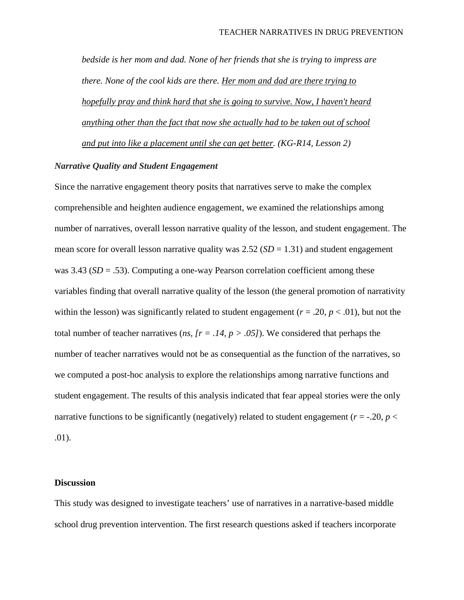*bedside is her mom and dad. None of her friends that she is trying to impress are there. None of the cool kids are there. Her mom and dad are there trying to hopefully pray and think hard that she is going to survive. Now, I haven't heard anything other than the fact that now she actually had to be taken out of school and put into like a placement until she can get better. (KG-R14, Lesson 2)*

#### *Narrative Quality and Student Engagement*

Since the narrative engagement theory posits that narratives serve to make the complex comprehensible and heighten audience engagement, we examined the relationships among number of narratives, overall lesson narrative quality of the lesson, and student engagement. The mean score for overall lesson narrative quality was  $2.52$  (*SD* = 1.31) and student engagement was 3.43 (*SD* = .53). Computing a one-way Pearson correlation coefficient among these variables finding that overall narrative quality of the lesson (the general promotion of narrativity within the lesson) was significantly related to student engagement ( $r = .20$ ,  $p < .01$ ), but not the total number of teacher narratives (*ns*,  $[r = .14, p > .05]$ ). We considered that perhaps the number of teacher narratives would not be as consequential as the function of the narratives, so we computed a post-hoc analysis to explore the relationships among narrative functions and student engagement. The results of this analysis indicated that fear appeal stories were the only narrative functions to be significantly (negatively) related to student engagement ( $r = -0.20$ ,  $p <$ .01).

#### **Discussion**

This study was designed to investigate teachers' use of narratives in a narrative-based middle school drug prevention intervention. The first research questions asked if teachers incorporate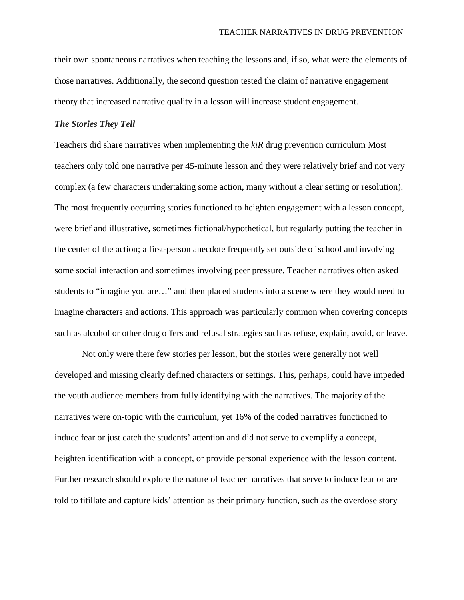their own spontaneous narratives when teaching the lessons and, if so, what were the elements of those narratives. Additionally, the second question tested the claim of narrative engagement theory that increased narrative quality in a lesson will increase student engagement.

#### *The Stories They Tell*

Teachers did share narratives when implementing the *kiR* drug prevention curriculum Most teachers only told one narrative per 45-minute lesson and they were relatively brief and not very complex (a few characters undertaking some action, many without a clear setting or resolution). The most frequently occurring stories functioned to heighten engagement with a lesson concept, were brief and illustrative, sometimes fictional/hypothetical, but regularly putting the teacher in the center of the action; a first-person anecdote frequently set outside of school and involving some social interaction and sometimes involving peer pressure. Teacher narratives often asked students to "imagine you are…" and then placed students into a scene where they would need to imagine characters and actions. This approach was particularly common when covering concepts such as alcohol or other drug offers and refusal strategies such as refuse, explain, avoid, or leave.

Not only were there few stories per lesson, but the stories were generally not well developed and missing clearly defined characters or settings. This, perhaps, could have impeded the youth audience members from fully identifying with the narratives. The majority of the narratives were on-topic with the curriculum, yet 16% of the coded narratives functioned to induce fear or just catch the students' attention and did not serve to exemplify a concept, heighten identification with a concept, or provide personal experience with the lesson content. Further research should explore the nature of teacher narratives that serve to induce fear or are told to titillate and capture kids' attention as their primary function, such as the overdose story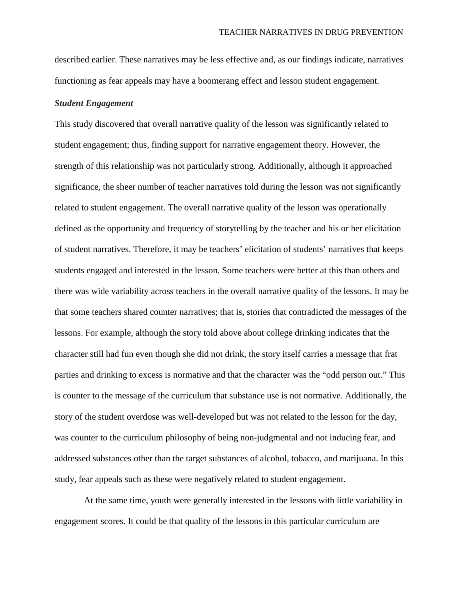described earlier. These narratives may be less effective and, as our findings indicate, narratives functioning as fear appeals may have a boomerang effect and lesson student engagement.

#### *Student Engagement*

This study discovered that overall narrative quality of the lesson was significantly related to student engagement; thus, finding support for narrative engagement theory. However, the strength of this relationship was not particularly strong. Additionally, although it approached significance, the sheer number of teacher narratives told during the lesson was not significantly related to student engagement. The overall narrative quality of the lesson was operationally defined as the opportunity and frequency of storytelling by the teacher and his or her elicitation of student narratives. Therefore, it may be teachers' elicitation of students' narratives that keeps students engaged and interested in the lesson. Some teachers were better at this than others and there was wide variability across teachers in the overall narrative quality of the lessons. It may be that some teachers shared counter narratives; that is, stories that contradicted the messages of the lessons. For example, although the story told above about college drinking indicates that the character still had fun even though she did not drink, the story itself carries a message that frat parties and drinking to excess is normative and that the character was the "odd person out." This is counter to the message of the curriculum that substance use is not normative. Additionally, the story of the student overdose was well-developed but was not related to the lesson for the day, was counter to the curriculum philosophy of being non-judgmental and not inducing fear, and addressed substances other than the target substances of alcohol, tobacco, and marijuana. In this study, fear appeals such as these were negatively related to student engagement.

At the same time, youth were generally interested in the lessons with little variability in engagement scores. It could be that quality of the lessons in this particular curriculum are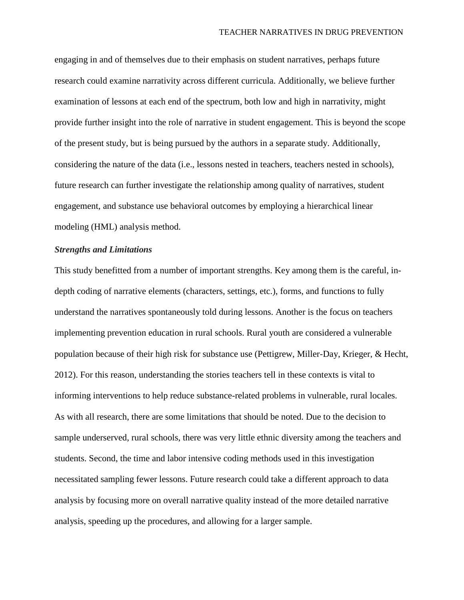engaging in and of themselves due to their emphasis on student narratives, perhaps future research could examine narrativity across different curricula. Additionally, we believe further examination of lessons at each end of the spectrum, both low and high in narrativity, might provide further insight into the role of narrative in student engagement. This is beyond the scope of the present study, but is being pursued by the authors in a separate study. Additionally, considering the nature of the data (i.e., lessons nested in teachers, teachers nested in schools), future research can further investigate the relationship among quality of narratives, student engagement, and substance use behavioral outcomes by employing a hierarchical linear modeling (HML) analysis method.

#### *Strengths and Limitations*

This study benefitted from a number of important strengths. Key among them is the careful, indepth coding of narrative elements (characters, settings, etc.), forms, and functions to fully understand the narratives spontaneously told during lessons. Another is the focus on teachers implementing prevention education in rural schools. Rural youth are considered a vulnerable population because of their high risk for substance use (Pettigrew, Miller-Day, Krieger, & Hecht, 2012). For this reason, understanding the stories teachers tell in these contexts is vital to informing interventions to help reduce substance-related problems in vulnerable, rural locales. As with all research, there are some limitations that should be noted. Due to the decision to sample underserved, rural schools, there was very little ethnic diversity among the teachers and students. Second, the time and labor intensive coding methods used in this investigation necessitated sampling fewer lessons. Future research could take a different approach to data analysis by focusing more on overall narrative quality instead of the more detailed narrative analysis, speeding up the procedures, and allowing for a larger sample.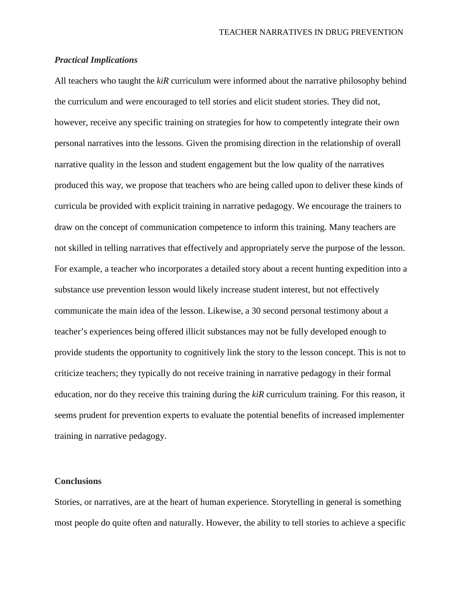#### *Practical Implications*

All teachers who taught the *kiR* curriculum were informed about the narrative philosophy behind the curriculum and were encouraged to tell stories and elicit student stories. They did not, however, receive any specific training on strategies for how to competently integrate their own personal narratives into the lessons. Given the promising direction in the relationship of overall narrative quality in the lesson and student engagement but the low quality of the narratives produced this way, we propose that teachers who are being called upon to deliver these kinds of curricula be provided with explicit training in narrative pedagogy. We encourage the trainers to draw on the concept of communication competence to inform this training. Many teachers are not skilled in telling narratives that effectively and appropriately serve the purpose of the lesson. For example, a teacher who incorporates a detailed story about a recent hunting expedition into a substance use prevention lesson would likely increase student interest, but not effectively communicate the main idea of the lesson. Likewise, a 30 second personal testimony about a teacher's experiences being offered illicit substances may not be fully developed enough to provide students the opportunity to cognitively link the story to the lesson concept. This is not to criticize teachers; they typically do not receive training in narrative pedagogy in their formal education, nor do they receive this training during the *kiR* curriculum training. For this reason, it seems prudent for prevention experts to evaluate the potential benefits of increased implementer training in narrative pedagogy.

#### **Conclusions**

Stories, or narratives, are at the heart of human experience. Storytelling in general is something most people do quite often and naturally. However, the ability to tell stories to achieve a specific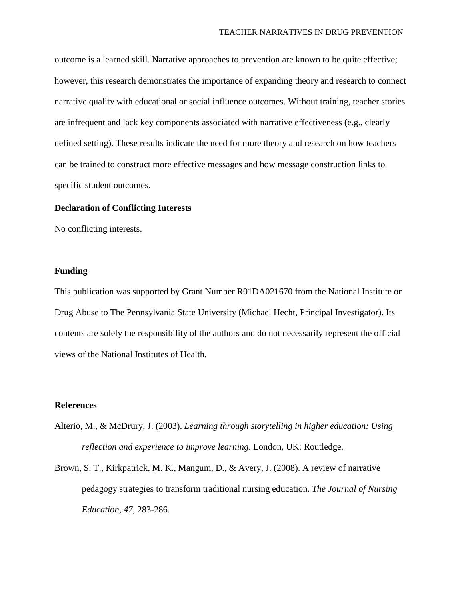outcome is a learned skill. Narrative approaches to prevention are known to be quite effective; however, this research demonstrates the importance of expanding theory and research to connect narrative quality with educational or social influence outcomes. Without training, teacher stories are infrequent and lack key components associated with narrative effectiveness (e.g., clearly defined setting). These results indicate the need for more theory and research on how teachers can be trained to construct more effective messages and how message construction links to specific student outcomes.

#### **Declaration of Conflicting Interests**

No conflicting interests.

#### **Funding**

This publication was supported by Grant Number R01DA021670 from the National Institute on Drug Abuse to The Pennsylvania State University (Michael Hecht, Principal Investigator). Its contents are solely the responsibility of the authors and do not necessarily represent the official views of the National Institutes of Health.

#### **References**

- Alterio, M., & McDrury, J. (2003). *Learning through storytelling in higher education: Using reflection and experience to improve learning*. London, UK: Routledge.
- Brown, S. T., Kirkpatrick, M. K., Mangum, D., & Avery, J. (2008). A review of narrative pedagogy strategies to transform traditional nursing education. *The Journal of Nursing Education*, *47*, 283-286.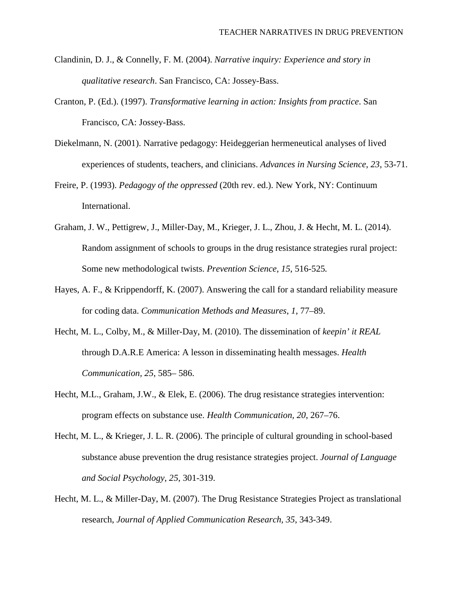- Clandinin, D. J., & Connelly, F. M. (2004). *Narrative inquiry: Experience and story in qualitative research*. San Francisco, CA: Jossey-Bass.
- Cranton, P. (Ed.). (1997). *Transformative learning in action: Insights from practice*. San Francisco, CA: Jossey-Bass.
- Diekelmann, N. (2001). Narrative pedagogy: Heideggerian hermeneutical analyses of lived experiences of students, teachers, and clinicians. *Advances in Nursing Science, 23*, 53-71.
- Freire, P. (1993). *Pedagogy of the oppressed* (20th rev. ed.). New York, NY: Continuum International.
- Graham, J. W., Pettigrew, J., Miller-Day, M., Krieger, J. L., Zhou, J. & Hecht, M. L. (2014). Random assignment of schools to groups in the drug resistance strategies rural project: Some new methodological twists. *Prevention Science, 15*, 516-525*.*
- Hayes, A. F., & Krippendorff, K. (2007). Answering the call for a standard reliability measure for coding data. *Communication Methods and Measures*, *1*, 77–89.
- Hecht, M. L., Colby, M., & Miller-Day, M. (2010). The dissemination of *keepin' it REAL* through D.A.R.E America: A lesson in disseminating health messages. *Health Communication, 25*, 585– 586.
- Hecht, M.L., Graham, J.W., & Elek, E. (2006). The drug resistance strategies intervention: program effects on substance use. *Health Communication, 20*, 267–76.
- Hecht, M. L., & Krieger, J. L. R. (2006). The principle of cultural grounding in school-based substance abuse prevention the drug resistance strategies project. *Journal of Language and Social Psychology*, *25*, 301-319.
- Hecht, M. L., & Miller-Day, M. (2007). The Drug Resistance Strategies Project as translational research, *Journal of Applied Communication Research, 35*, 343-349.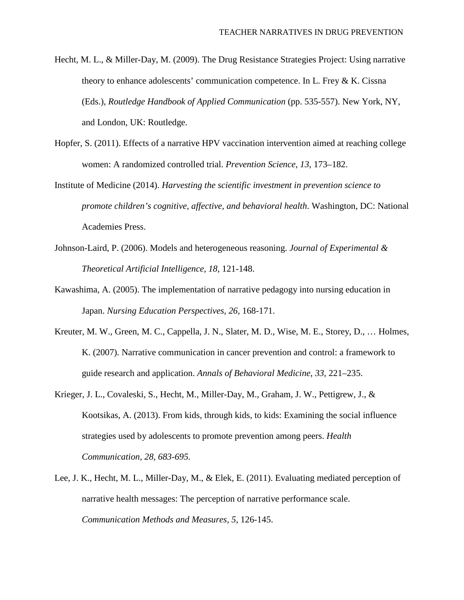- Hecht, M. L., & Miller-Day, M. (2009). The Drug Resistance Strategies Project: Using narrative theory to enhance adolescents' communication competence. In L. Frey & K. Cissna (Eds.), *Routledge Handbook of Applied Communication* (pp. 535-557). New York, NY, and London, UK: Routledge.
- Hopfer, S. (2011). Effects of a narrative HPV vaccination intervention aimed at reaching college women: A randomized controlled trial. *Prevention Science*, *13*, 173–182.
- Institute of Medicine (2014). *Harvesting the scientific investment in prevention science to promote children's cognitive, affective, and behavioral health*. Washington, DC: National Academies Press.
- Johnson-Laird, P. (2006). Models and heterogeneous reasoning. *Journal of Experimental & Theoretical Artificial Intelligence, 18*, 121-148.
- Kawashima, A. (2005). The implementation of narrative pedagogy into nursing education in Japan. *Nursing Education Perspectives, 26,* 168-171.
- Kreuter, M. W., Green, M. C., Cappella, J. N., Slater, M. D., Wise, M. E., Storey, D., … Holmes, K. (2007). Narrative communication in cancer prevention and control: a framework to guide research and application. *Annals of Behavioral Medicine*, *33*, 221–235.
- Krieger, J. L., Covaleski, S., Hecht, M., Miller-Day, M., Graham, J. W., Pettigrew, J., & Kootsikas, A. (2013). From kids, through kids, to kids: Examining the social influence strategies used by adolescents to promote prevention among peers. *Health Communication, 28, 683-695.*
- Lee, J. K., Hecht, M. L., Miller-Day, M., & Elek, E. (2011). Evaluating mediated perception of narrative health messages: The perception of narrative performance scale. *Communication Methods and Measures, 5*, 126-145.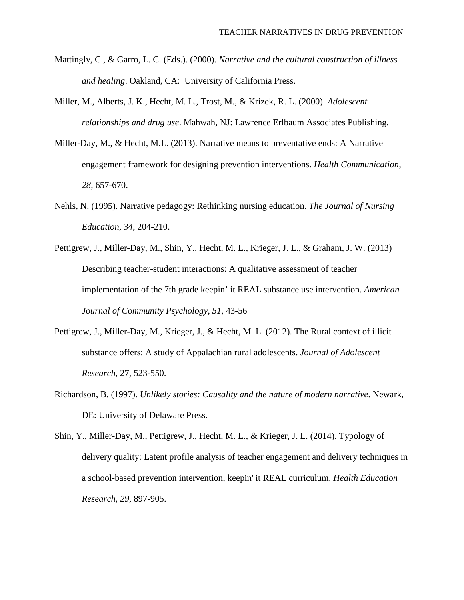- Mattingly, C., & Garro, L. C. (Eds.). (2000). *Narrative and the cultural construction of illness and healing*. Oakland, CA: University of California Press.
- Miller, M., Alberts, J. K., Hecht, M. L., Trost, M., & Krizek, R. L. (2000). *Adolescent relationships and drug use*. Mahwah, NJ: Lawrence Erlbaum Associates Publishing.
- Miller-Day, M., & Hecht, M.L. (2013). Narrative means to preventative ends: A Narrative engagement framework for designing prevention interventions. *Health Communication, 28*, 657-670.
- Nehls, N. (1995). Narrative pedagogy: Rethinking nursing education. *The Journal of Nursing Education*, *34*, 204-210.
- Pettigrew, J., Miller-Day, M., Shin, Y., Hecht, M. L., Krieger, J. L., & Graham, J. W. (2013) Describing teacher-student interactions: A qualitative assessment of teacher implementation of the 7th grade keepin' it REAL substance use intervention. *American Journal of Community Psychology, 51*, 43-56
- Pettigrew, J., Miller-Day, M., Krieger, J., & Hecht, M. L. (2012). The Rural context of illicit substance offers: A study of Appalachian rural adolescents. *Journal of Adolescent Research*, 27, 523-550.
- Richardson, B. (1997). *Unlikely stories: Causality and the nature of modern narrative*. Newark, DE: University of Delaware Press.
- Shin, Y., Miller-Day, M., Pettigrew, J., Hecht, M. L., & Krieger, J. L. (2014). Typology of delivery quality: Latent profile analysis of teacher engagement and delivery techniques in a school-based prevention intervention, keepin' it REAL curriculum. *Health Education Research, 29*, 897-905.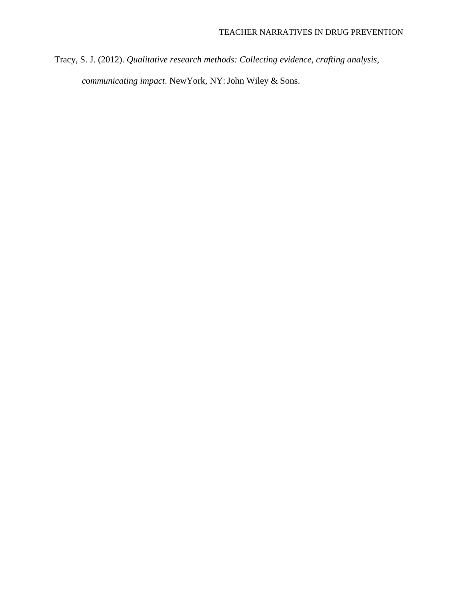Tracy, S. J. (2012). *Qualitative research methods: Collecting evidence, crafting analysis, communicating impact*. NewYork, NY:John Wiley & Sons.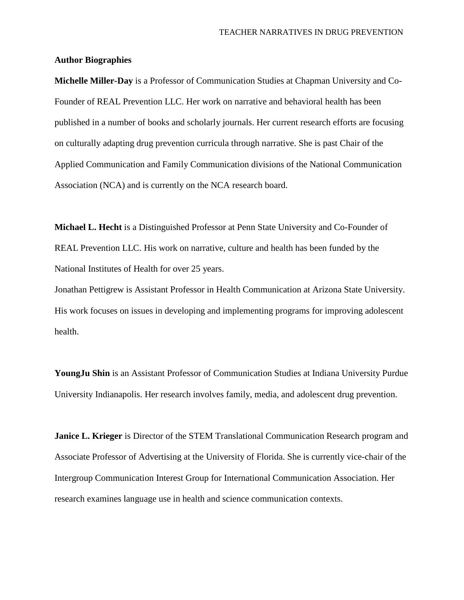#### **Author Biographies**

**Michelle Miller-Day** is a Professor of Communication Studies at Chapman University and Co-Founder of REAL Prevention LLC. Her work on narrative and behavioral health has been published in a number of books and scholarly journals. Her current research efforts are focusing on culturally adapting drug prevention curricula through narrative. She is past Chair of the Applied Communication and Family Communication divisions of the National Communication Association (NCA) and is currently on the NCA research board.

**Michael L. Hecht** is a Distinguished Professor at Penn State University and Co-Founder of REAL Prevention LLC. His work on narrative, culture and health has been funded by the National Institutes of Health for over 25 years.

Jonathan Pettigrew is Assistant Professor in Health Communication at Arizona State University. His work focuses on issues in developing and implementing programs for improving adolescent health.

**YoungJu Shin** is an Assistant Professor of Communication Studies at Indiana University Purdue University Indianapolis. Her research involves family, media, and adolescent drug prevention.

**Janice L. Krieger** is Director of the STEM Translational Communication Research program and Associate Professor of Advertising at the University of Florida. She is currently vice-chair of the Intergroup Communication Interest Group for International Communication Association. Her research examines language use in health and science communication contexts.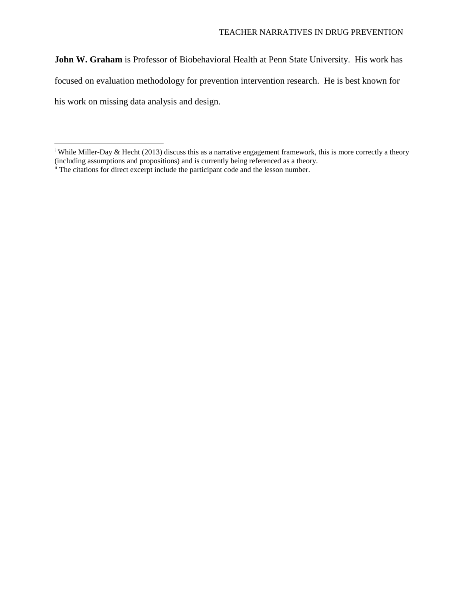**John W. Graham** is Professor of Biobehavioral Health at Penn State University. His work has focused on evaluation methodology for prevention intervention research. He is best known for his work on missing data analysis and design.

 $\overline{a}$ 

<span id="page-29-0"></span><sup>&</sup>lt;sup>i</sup> While Miller-Day & Hecht (2013) discuss this as a narrative engagement framework, this is more correctly a theory (including assumptions and propositions) and is currently being referenced as a theory.

<span id="page-29-1"></span>ii The citations for direct excerpt include the participant code and the lesson number.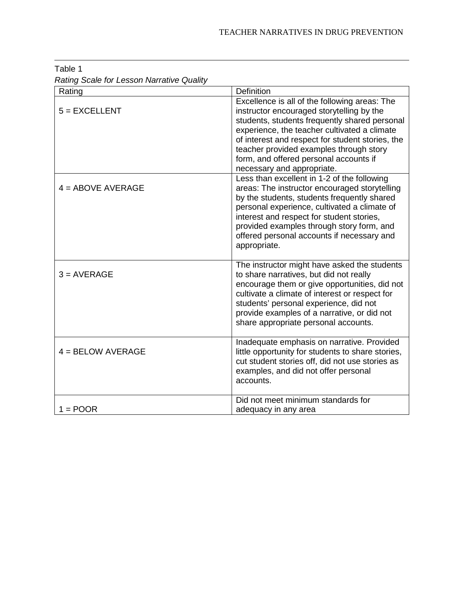| $\alpha$ and $\beta$ board for Ecocon realizative seasing<br>Rating | <b>Definition</b>                                                                                                                                                                                                                                                                                                                                                  |
|---------------------------------------------------------------------|--------------------------------------------------------------------------------------------------------------------------------------------------------------------------------------------------------------------------------------------------------------------------------------------------------------------------------------------------------------------|
|                                                                     |                                                                                                                                                                                                                                                                                                                                                                    |
| $5 = EXCELLENT$                                                     | Excellence is all of the following areas: The<br>instructor encouraged storytelling by the<br>students, students frequently shared personal<br>experience, the teacher cultivated a climate<br>of interest and respect for student stories, the<br>teacher provided examples through story<br>form, and offered personal accounts if<br>necessary and appropriate. |
| $4 =$ ABOVE AVERAGE                                                 | Less than excellent in 1-2 of the following<br>areas: The instructor encouraged storytelling<br>by the students, students frequently shared<br>personal experience, cultivated a climate of<br>interest and respect for student stories,<br>provided examples through story form, and<br>offered personal accounts if necessary and<br>appropriate.                |
| $3 = AVERAGE$                                                       | The instructor might have asked the students<br>to share narratives, but did not really<br>encourage them or give opportunities, did not<br>cultivate a climate of interest or respect for<br>students' personal experience, did not<br>provide examples of a narrative, or did not<br>share appropriate personal accounts.                                        |
| $4 = BELOW$ AVERAGE                                                 | Inadequate emphasis on narrative. Provided<br>little opportunity for students to share stories,<br>cut student stories off, did not use stories as<br>examples, and did not offer personal<br>accounts.                                                                                                                                                            |
| $1 = POOR$                                                          | Did not meet minimum standards for<br>adequacy in any area                                                                                                                                                                                                                                                                                                         |

Table 1 *Rating Scale for Lesson Narrative Quality* 

 $\ddot{\phantom{a}}$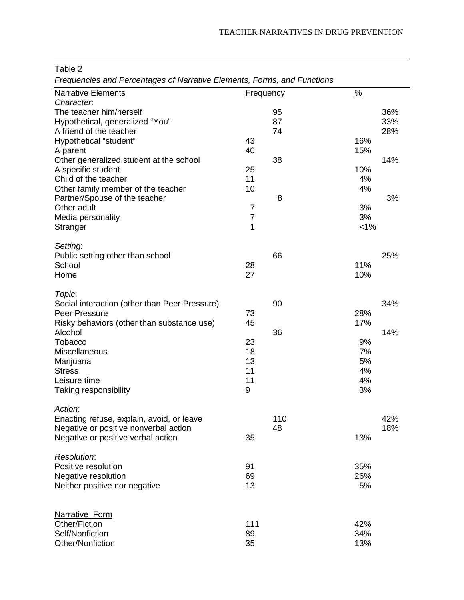Table 2

 $\ddot{\phantom{a}}$ 

*Frequencies and Percentages of Narrative Elements, Forms, and Functions*

| <b>Narrative Elements</b>                     | <b>Frequency</b> |     | $\frac{9}{6}$ |     |
|-----------------------------------------------|------------------|-----|---------------|-----|
| Character.                                    |                  |     |               |     |
| The teacher him/herself                       |                  | 95  |               | 36% |
| Hypothetical, generalized "You"               |                  | 87  |               | 33% |
| A friend of the teacher                       |                  | 74  |               | 28% |
| Hypothetical "student"                        | 43               |     | 16%           |     |
| A parent                                      | 40               |     | 15%           |     |
| Other generalized student at the school       |                  | 38  |               | 14% |
| A specific student                            | 25               |     | 10%           |     |
| Child of the teacher                          | 11               |     | 4%            |     |
| Other family member of the teacher            | 10               |     | 4%            |     |
| Partner/Spouse of the teacher                 |                  | 8   |               | 3%  |
| Other adult                                   | 7                |     | 3%            |     |
|                                               | $\overline{7}$   |     | 3%            |     |
| Media personality                             | 1                |     |               |     |
| Stranger                                      |                  |     | $< 1\%$       |     |
| Setting:                                      |                  |     |               |     |
| Public setting other than school              |                  | 66  |               | 25% |
| School                                        | 28               |     | 11%           |     |
| Home                                          | 27               |     | 10%           |     |
|                                               |                  |     |               |     |
| Topic:                                        |                  |     |               |     |
| Social interaction (other than Peer Pressure) |                  | 90  |               | 34% |
| Peer Pressure                                 | 73               |     | 28%           |     |
| Risky behaviors (other than substance use)    | 45               |     | 17%           |     |
| Alcohol                                       |                  | 36  |               | 14% |
| Tobacco                                       | 23               |     | 9%            |     |
| Miscellaneous                                 | 18               |     | 7%            |     |
|                                               | 13               |     | 5%            |     |
| Marijuana                                     |                  |     |               |     |
| <b>Stress</b>                                 | 11               |     | 4%            |     |
| Leisure time                                  | 11               |     | 4%            |     |
| Taking responsibility                         | 9                |     | 3%            |     |
| Action:                                       |                  |     |               |     |
| Enacting refuse, explain, avoid, or leave     |                  | 110 |               | 42% |
| Negative or positive nonverbal action         |                  | 48  |               | 18% |
|                                               | 35               |     | 13%           |     |
| Negative or positive verbal action            |                  |     |               |     |
| Resolution:                                   |                  |     |               |     |
| Positive resolution                           | 91               |     | 35%           |     |
| Negative resolution                           | 69               |     | 26%           |     |
| Neither positive nor negative                 | 13               |     | 5%            |     |
|                                               |                  |     |               |     |
|                                               |                  |     |               |     |
| Narrative Form                                |                  |     |               |     |
| Other/Fiction                                 | 111              |     | 42%           |     |
| Self/Nonfiction                               | 89               |     | 34%           |     |
| Other/Nonfiction                              | 35               |     | 13%           |     |